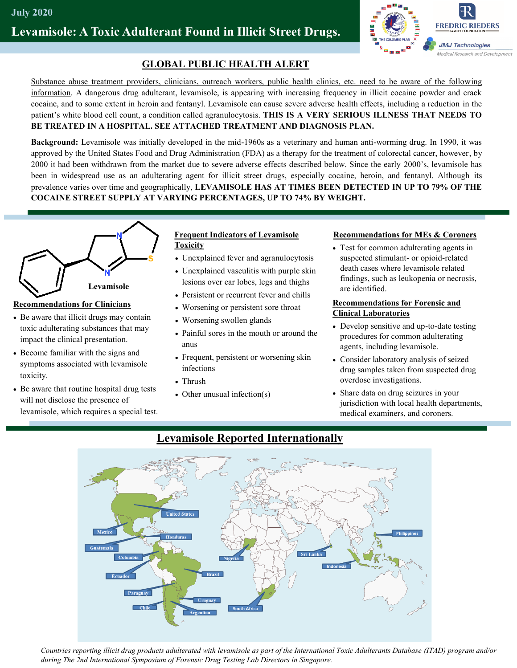# **Levamisole: A Toxic Adulterant Found in Illicit Street Drugs.**



## **GLOBAL PUBLIC HEALTH ALERT**

Substance abuse treatment providers, clinicians, outreach workers, public health clinics, etc. need to be aware of the following information. A dangerous drug adulterant, levamisole, is appearing with increasing frequency in illicit cocaine powder and crack cocaine, and to some extent in heroin and fentanyl. Levamisole can cause severe adverse health effects, including a reduction in the patient's white blood cell count, a condition called agranulocytosis. **THIS IS A VERY SERIOUS ILLNESS THAT NEEDS TO BE TREATED IN A HOSPITAL. SEE ATTACHED TREATMENT AND DIAGNOSIS PLAN.**

**Background:** Levamisole was initially developed in the mid-1960s as a veterinary and human anti-worming drug. In 1990, it was approved by the United States Food and Drug Administration (FDA) as a therapy for the treatment of colorectal cancer, however, by 2000 it had been withdrawn from the market due to severe adverse effects described below. Since the early 2000's, levamisole has been in widespread use as an adulterating agent for illicit street drugs, especially cocaine, heroin, and fentanyl. Although its prevalence varies over time and geographically, **LEVAMISOLE HAS AT TIMES BEEN DETECTED IN UP TO 79% OF THE COCAINE STREET SUPPLY AT VARYING PERCENTAGES, UP TO 74% BY WEIGHT.** 



### **Recommendations for Clinicians**

- Be aware that illicit drugs may contain toxic adulterating substances that may impact the clinical presentation.
- Become familiar with the signs and symptoms associated with levamisole toxicity.
- Be aware that routine hospital drug tests will not disclose the presence of levamisole, which requires a special test.

#### **Frequent Indicators of Levamisole Toxicity**

- Unexplained fever and agranulocytosis
- Unexplained vasculitis with purple skin lesions over ear lobes, legs and thighs
- Persistent or recurrent fever and chills
- Worsening or persistent sore throat
- Worsening swollen glands
- Painful sores in the mouth or around the anus
- Frequent, persistent or worsening skin infections
- Thrush
- Other unusual infection(s)

#### **Recommendations for MEs & Coroners**

• Test for common adulterating agents in suspected stimulant- or opioid-related death cases where levamisole related findings, such as leukopenia or necrosis, are identified.

#### **Recommendations for Forensic and Clinical Laboratories**

- Develop sensitive and up-to-date testing procedures for common adulterating agents, including levamisole.
- Consider laboratory analysis of seized drug samples taken from suspected drug overdose investigations.
- Share data on drug seizures in your jurisdiction with local health departments, medical examiners, and coroners.



## **Levamisole Reported Internationally**

*Countries reporting illicit drug products adulterated with levamisole as part of the International Toxic Adulterants Database (ITAD) program and/or during The 2nd International Symposium of Forensic Drug Testing Lab Directors in Singapore.*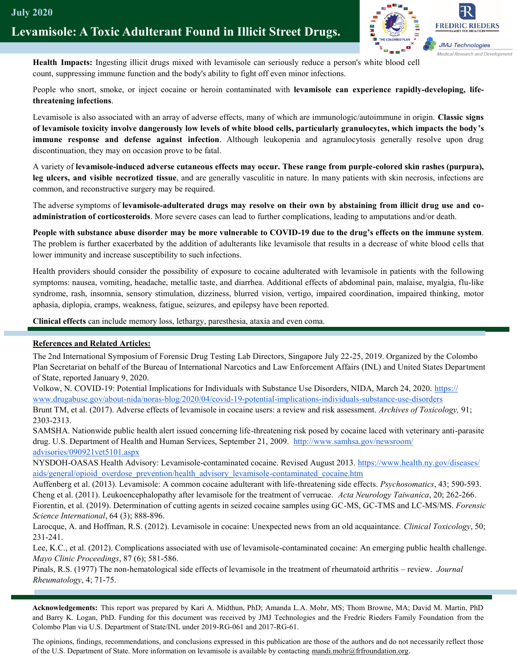

**Health Impacts:** Ingesting illicit drugs mixed with levamisole can seriously reduce a person's white blood cell count, suppressing immune function and the body's ability to fight off even minor infections.

People who snort, smoke, or inject cocaine or heroin contaminated with **levamisole can experience rapidly-developing, lifethreatening infections**.

Levamisole is also associated with an array of adverse effects, many of which are immunologic/autoimmune in origin. **Classic signs of levamisole toxicity involve dangerously low levels of white blood cells, particularly granulocytes, which impacts the body's immune response and defense against infection**. Although leukopenia and agranulocytosis generally resolve upon drug discontinuation, they may on occasion prove to be fatal.

A variety of **levamisole-induced adverse cutaneous effects may occur. These range from purple-colored skin rashes (purpura), leg ulcers, and visible necrotized tissue**, and are generally vasculitic in nature. In many patients with skin necrosis, infections are common, and reconstructive surgery may be required.

The adverse symptoms of **levamisole-adulterated drugs may resolve on their own by abstaining from illicit drug use and coadministration of corticosteroids**. More severe cases can lead to further complications, leading to amputations and/or death.

**People with substance abuse disorder may be more vulnerable to COVID-19 due to the drug's effects on the immune system**. The problem is further exacerbated by the addition of adulterants like levamisole that results in a decrease of white blood cells that lower immunity and increase susceptibility to such infections.

Health providers should consider the possibility of exposure to cocaine adulterated with levamisole in patients with the following symptoms: nausea, vomiting, headache, metallic taste, and diarrhea. Additional effects of abdominal pain, malaise, myalgia, flu-like syndrome, rash, insomnia, sensory stimulation, dizziness, blurred vision, vertigo, impaired coordination, impaired thinking, motor aphasia, diplopia, cramps, weakness, fatigue, seizures, and epilepsy have been reported.

**Clinical effects** can include memory loss, lethargy, paresthesia, ataxia and even coma.

#### **References and Related Articles:**

The 2nd International Symposium of Forensic Drug Testing Lab Directors, Singapore July 22-25, 2019. Organized by the Colombo Plan Secretariat on behalf of the Bureau of International Narcotics and Law Enforcement Affairs (INL) and United States Department of State, reported January 9, 2020.

Volkow, N. COVID-19: Potential Implications for Individuals with Substance Use Disorders, NIDA, March 24, 2020. [https://](https://www.drugabuse.gov/about-nida/noras-blog/2020/04/covid-19-potential-implications-individuals-substance-use-disorders) [www.drugabuse.gov/about](https://www.drugabuse.gov/about-nida/noras-blog/2020/04/covid-19-potential-implications-individuals-substance-use-disorders)-nida/noras-blog/2020/04/covid-19-potential-implications-individuals-substance-use-disorders Brunt TM, et al. (2017). Adverse effects of levamisole in cocaine users: a review and risk assessment. *Archives of Toxicology,* 91; 2303-2313.

SAMSHA. Nationwide public health alert issued concerning life-threatening risk posed by cocaine laced with veterinary anti-parasite drug. U.S. Department of Health and Human Services, September 21, 2009. [http://www.samhsa.gov/newsroom/](about:blank) [advisories/090921vet5101.aspx](about:blank)

NYSDOH-OASAS Health Advisory: Levamisole-contaminated cocaine. Revised August 2013. [https://www.health.ny.gov/diseases/](about:blank) [aids/general/opioid\\_overdose\\_prevention/health\\_advisory\\_levamisole](about:blank)-contaminated\_cocaine.htm

Auffenberg et al. (2013). Levamisole: A common cocaine adulterant with life-threatening side effects. *Psychosomatics*, 43; 590-593. Cheng et al. (2011). Leukoencephalopathy after levamisole for the treatment of verrucae. *Acta Neurology Taiwanica*, 20; 262-266. Fiorentin, et al. (2019). Determination of cutting agents in seized cocaine samples using GC-MS, GC-TMS and LC-MS/MS. *Forensic Science International*, 64 (3); 888-896.

Larocque, A. and Hoffman, R.S. (2012). Levamisole in cocaine: Unexpected news from an old acquaintance. *Clinical Toxicology*, 50; 231-241.

Lee, K.C., et al. (2012). Complications associated with use of levamisole-contaminated cocaine: An emerging public health challenge. *Mayo Clinic Proceedings*, 87 (6); 581-586.

Pinals, R.S. (1977) The non-hematological side effects of levamisole in the treatment of rheumatoid arthritis – review. *Journal Rheumatology*, 4; 71-75.

**Acknowledgements:** This report was prepared by Kari A. Midthun, PhD; Amanda L.A. Mohr, MS; Thom Browne, MA; David M. Martin, PhD and Barry K. Logan, PhD. Funding for this document was received by JMJ Technologies and the Fredric Rieders Family Foundation from the Colombo Plan via U.S. Department of State/INL under 2019-RG-061 and 2017-RG-61.

The opinions, findings, recommendations, and conclusions expressed in this publication are those of the authors and do not necessarily reflect those of the U.S. Department of State. More information on levamisole is available by contacting mandi.mohr@frfroundation.org.